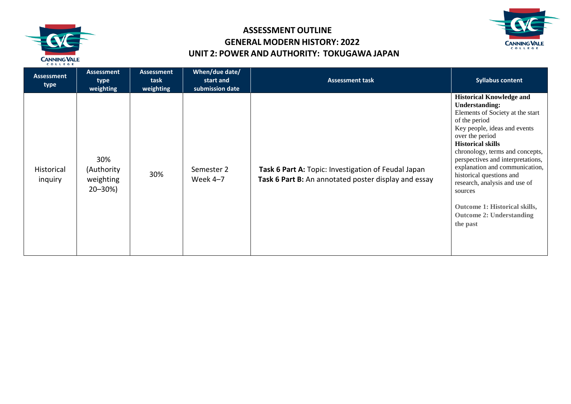



| Assessment<br>type    | <b>Assessment</b><br>type<br>weighting         | <b>Assessment</b><br>task<br>weighting | When/due date/<br>start and<br>submission date | <b>Assessment task</b>                                                                                      | <b>Syllabus content</b>                                                                                                                                                                                                                                                                                                                                                                                                                                        |
|-----------------------|------------------------------------------------|----------------------------------------|------------------------------------------------|-------------------------------------------------------------------------------------------------------------|----------------------------------------------------------------------------------------------------------------------------------------------------------------------------------------------------------------------------------------------------------------------------------------------------------------------------------------------------------------------------------------------------------------------------------------------------------------|
| Historical<br>inquiry | 30%<br>(Authority<br>weighting<br>$20 - 30\%)$ | 30%                                    | Semester 2<br>Week 4-7                         | Task 6 Part A: Topic: Investigation of Feudal Japan<br>Task 6 Part B: An annotated poster display and essay | <b>Historical Knowledge and</b><br><b>Understanding:</b><br>Elements of Society at the start<br>of the period<br>Key people, ideas and events<br>over the period<br><b>Historical skills</b><br>chronology, terms and concepts,<br>perspectives and interpretations,<br>explanation and communication,<br>historical questions and<br>research, analysis and use of<br>sources<br>Outcome 1: Historical skills,<br><b>Outcome 2: Understanding</b><br>the past |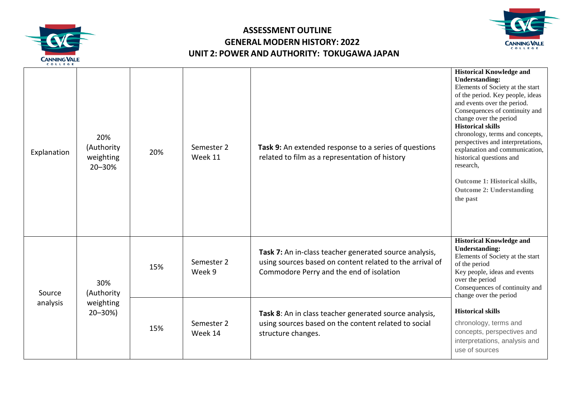



| COLLEGE            |                                                |     |                       |                                                                                                                                                                |                                                                                                                                                                                                                                                                                                                                                                                                                                                                                                   |
|--------------------|------------------------------------------------|-----|-----------------------|----------------------------------------------------------------------------------------------------------------------------------------------------------------|---------------------------------------------------------------------------------------------------------------------------------------------------------------------------------------------------------------------------------------------------------------------------------------------------------------------------------------------------------------------------------------------------------------------------------------------------------------------------------------------------|
| Explanation        | 20%<br>(Authority<br>weighting<br>20-30%       | 20% | Semester 2<br>Week 11 | Task 9: An extended response to a series of questions<br>related to film as a representation of history                                                        | <b>Historical Knowledge and</b><br><b>Understanding:</b><br>Elements of Society at the start<br>of the period. Key people, ideas<br>and events over the period.<br>Consequences of continuity and<br>change over the period<br><b>Historical skills</b><br>chronology, terms and concepts,<br>perspectives and interpretations,<br>explanation and communication,<br>historical questions and<br>research,<br><b>Outcome 1: Historical skills,</b><br><b>Outcome 2: Understanding</b><br>the past |
| Source<br>analysis | 30%<br>(Authority<br>weighting<br>$20 - 30\%)$ | 15% | Semester 2<br>Week 9  | Task 7: An in-class teacher generated source analysis,<br>using sources based on content related to the arrival of<br>Commodore Perry and the end of isolation | <b>Historical Knowledge and</b><br><b>Understanding:</b><br>Elements of Society at the start<br>of the period<br>Key people, ideas and events<br>over the period<br>Consequences of continuity and<br>change over the period                                                                                                                                                                                                                                                                      |
|                    |                                                | 15% | Semester 2<br>Week 14 | Task 8: An in class teacher generated source analysis,<br>using sources based on the content related to social<br>structure changes.                           | <b>Historical skills</b><br>chronology, terms and<br>concepts, perspectives and<br>interpretations, analysis and<br>use of sources                                                                                                                                                                                                                                                                                                                                                                |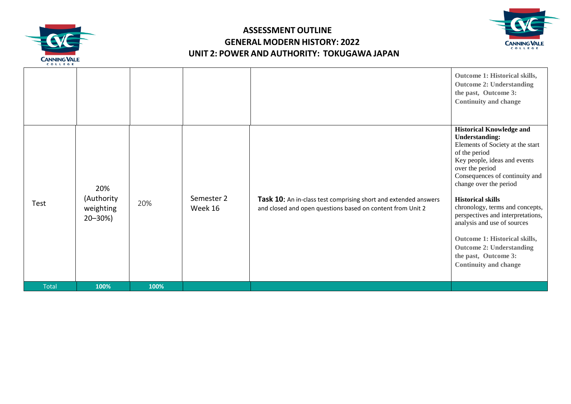



|      | weighting<br>$20 - 30\%)$ | 20% | Week 16    | and closed and open questions based on content from Unit 2      | <b>Historical skills</b><br>chronology, terms and concepts,<br>perspectives and interpretations,<br>analysis and use of sources<br>Outcome 1: Historical skills,<br><b>Outcome 2: Understanding</b><br>the past, Outcome 3:<br><b>Continuity and change</b> |
|------|---------------------------|-----|------------|-----------------------------------------------------------------|-------------------------------------------------------------------------------------------------------------------------------------------------------------------------------------------------------------------------------------------------------------|
| Test | 20%<br>(Authority         |     | Semester 2 | Task 10: An in-class test comprising short and extended answers | Consequences of continuity and<br>change over the period                                                                                                                                                                                                    |
|      |                           |     |            |                                                                 | <b>Historical Knowledge and</b><br><b>Understanding:</b><br>Elements of Society at the start<br>of the period<br>Key people, ideas and events<br>over the period                                                                                            |
|      |                           |     |            |                                                                 | Outcome 1: Historical skills,<br><b>Outcome 2: Understanding</b><br>the past, Outcome 3:<br><b>Continuity and change</b>                                                                                                                                    |